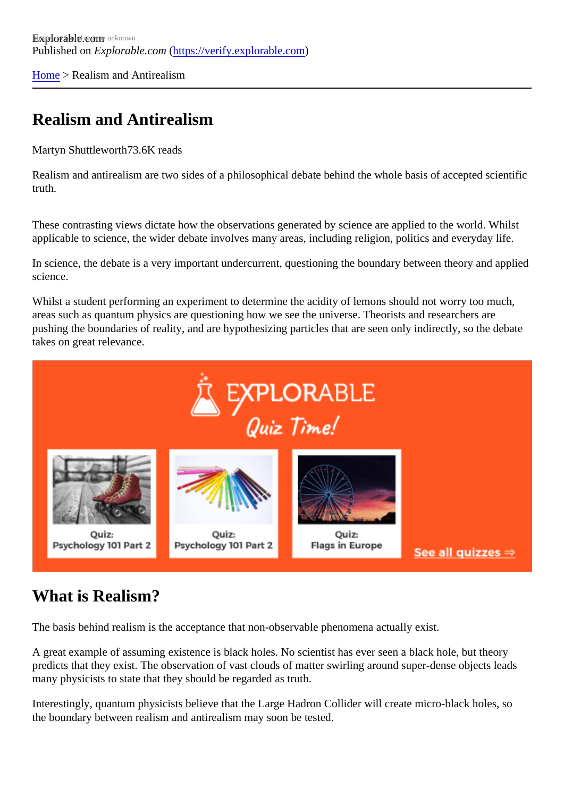[Home](https://verify.explorable.com/) > Realism and Antirealism

## Realism and Antirealism

Martyn Shuttlewort<sup>7</sup>3.6K reads

Realism and antirealism are two sides of a philosophical debate behind the whole basis of accepted scientifica truth.

These contrasting views dictate how the observations generated by science are applied to the world. While applicable to science, the wider debate involves many areas, including religion, politics and everyday life.

In science, the debate is a very important undercurrent, questioning the boundary between theory and app science.

Whilst a student performing an experiment to determine the acidity of lemons should not worry too much, areas such as quantum physics are questioning how we see the universe. Theorists and researchers are pushing the boundaries of reality, and are hypothesizing particles that are seen only indirectly, so the debat takes on great relevance.

## What is Realism?

The basis behind realism is the acceptance that non-observable phenomena actually exist.

A great example of assuming existence is black holes. No scientist has ever seen a black hole, but theory predicts that they exist. The observation of vast clouds of matter swirling around super-dense objects lead many physicists to state that they should be regarded as truth.

Interestingly, quantum physicists believe that the Large Hadron Collider will create micro-black holes, so the boundary between realism and antirealism may soon be tested.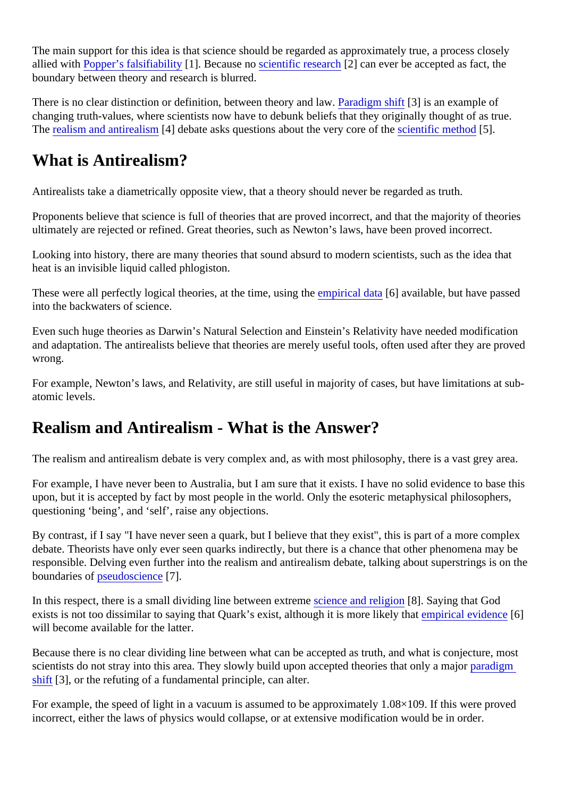The main support for this idea is that science should be regarded as approximately true, a process closely allied with [Popper's falsifiability](https://verify.explorable.com/falsifiability)[1]. Because nocientific researc[2] can ever be accepted as fact, the boundary between theory and research is blurred.

There is no clear distinction or definition, between theory and **Pawedigm shift**[3] is an example of changing truth-values, where scientists now have to debunk beliefs that they originally thought of as true. The [realism and antirealis](http://en.wikipedia.org/wiki/Anti-realism)m<sup>[4]</sup> debate asks questions about the very core or the scientific method<sup>5</sup>].

## What is Antirealism?

Antirealists take a diametrically opposite view, that a theory should never be regarded as truth.

Proponents believe that science is full of theories that are proved incorrect, and that the majority of theorie ultimately are rejected or refined. Great theories, such as Newton's laws, have been proved incorrect.

Looking into history, there are many theories that sound absurd to modern scientists, such as the idea that heat is an invisible liquid called phlogiston.

These were all perfectly logical theories, at the time, using the rical data 6] available, but have passed into the backwaters of science.

Even such huge theories as Darwin's Natural Selection and Einstein's Relativity have needed modification and adaptation. The antirealists believe that theories are merely useful tools, often used after they are pro wrong.

For example, Newton's laws, and Relativity, are still useful in majority of cases, but have limitations at subatomic levels.

## Realism and Antirealism - What is the Answer?

The realism and antirealism debate is very complex and, as with most philosophy, there is a vast grey are.

For example, I have never been to Australia, but I am sure that it exists. I have no solid evidence to base to upon, but it is accepted by fact by most people in the world. Only the esoteric metaphysical philosophers, questioning 'being', and 'self', raise any objections.

By contrast, if I say "I have never seen a quark, but I believe that they exist", this is part of a more complex debate. Theorists have only ever seen quarks indirectly, but there is a chance that other phenomena may responsible. Delving even further into the realism and antirealism debate, talking about superstrings is on boundaries obseudoscience<sup>7</sup>.

In this respect, there is a small dividing line between extremence and religionel. Saying that God exists is not too dissimilar to saying that Quark's exist, although it is more likeler that ical evidence will become available for the latter.

Because there is no clear dividing line between what can be accepted as truth, and what is conjecture, most scientists do not stray into this area. They slowly build upon accepted theories that only paradigm [shift](https://verify.explorable.com/paradigm-shift) [3], or the refuting of a fundamental principle, can alter.

For example, the speed of light in a vacuum is assumed to be approximately 1.08×109. If this were proved incorrect, either the laws of physics would collapse, or at extensive modification would be in order.